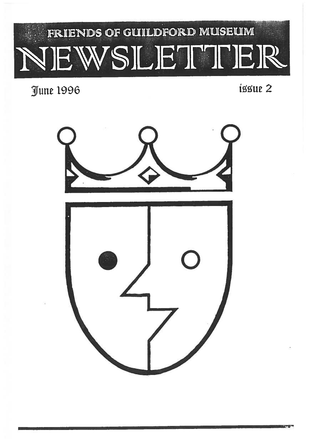# FRIENDS OF GUILDFORD MUSEUM NEWSLET9T]ER

June 1996

issue 2

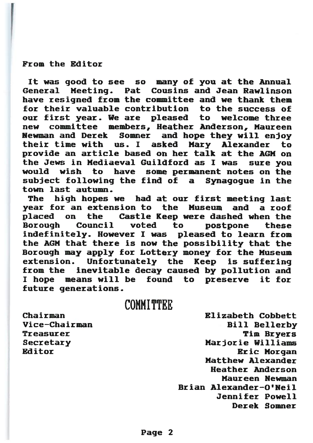#### From the Editor

It was good to see so many of you at the Annual General Meeting. Pat Cousins and Jean Rawlinson have resigned from the committee and we thank them for their valuable contribution to the success ofour first year. We are pleased to welcome three new committee members, Heather Anderson, Maureen Newman and Derek Somner and hope they will enjoy their time withasked Mary Alexander to provide an article based on her talk at the AGM on the Jews in Mediaeval Guildford as I was suresure you would wish to have some permanen<sup>t</sup> notes on the subject following the find of <sup>a</sup> Synagogue in the town last autumn.

The high hopes we had at our first meeting last year for an extension to the Museum and <sup>a</sup> roof placed on the Castle Keep were dashed when the Borough Council voted to postpone these indefinitely. However I was pleased to learn from the AGM that there is now the possibility that the Borough may apply for Lottery money for the Museum extension. Unfortunately the Keep is suffering from the inevitable decay caused by pollution and I hope means will be found to preserve it for future generations.

### COMMITTEE

ChairmanVice-ChairmanTreasurerEditor

 Elizabeth Cobbett Bill Bellerby r the component of the component of the component of the component of the component of the component of the component of the component of the component of the component of the component of the component of the component of **Tim Bryers** Secretary Marjorie Williams eric de la construction de la construction de la construction de la construction de la construction de la const **Eric Morgan** Matthew Alexander Heather AndersonMaureen NewmanBrian Alexander-O'Neil Jennifer PowellDerek Somner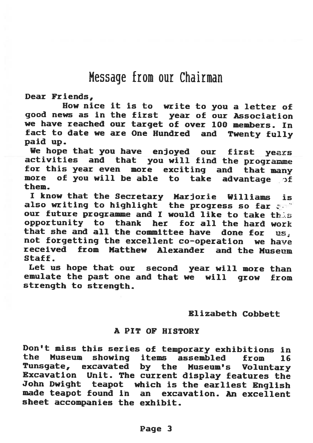# Message from our Chairman

Dear Friends,

How nice it is to write to you <sup>a</sup> letter of good news as in the first year of our Association we have reached our target of over 100 members. In fact to date we are One Hundred and Twenty fully paid up.

We hope that you have enjoyed our first years activities and that you will find the programme for this year even more exciting and that many more of you will be able to take advantage of them.

<sup>I</sup> know that the Secretary Marjorie Williams is also writing to highlight  $\,$  the progress so far  $\,$   $\,$ our future programme and I would like to take this opportunity to thank her for all the hard work that she and all the committee have done for us. not forgetting the excellent co-operation we have received from Matthew Alexander and the Museum Staff.

let us hope that our second year will more than emulate the past one and that we will grow from strength to strength.

#### Elizabeth Cobbett

#### A PIT OF HISTORY

Don't miss this series of temporary exhibitions in<br>the Museum showing items assembled from 16 showing items assembled from 16 Tunsgate, excavated by the Museum's Voluntary Excavation Unit. The current display features the John Dwight teapot which is the earliest English made teapot found in an excavation. An excellent sheet accompanies the exhibit.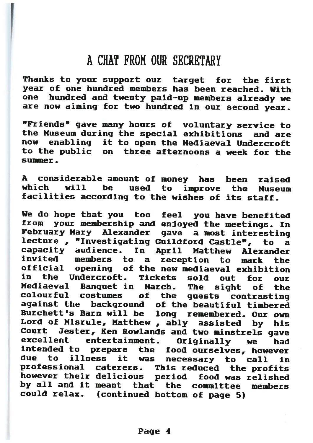# A CHAT FROM OUR SECRETARY

Thanks to your support our target for the first year of one hundred members has been reached. With one hundred and twenty paid—up members already we are now aiming for two hundred in our second year.

"Friends" gave many hours of voluntary service to the Museum during the special exhibitions and are now enabling it to open the Mediaeval Undercroft to theon three afternoons a week for the summer.

A considerable amount of money has been raised which will be used to improve the Museum facilities according to the wishes of its staff.

We do hope that you too feel you have benefited from your membership and enjoyed the meetings. In February Mary Alexander gave <sup>a</sup> most interesting lecture , "Investigating Guildford Castle", to <sup>a</sup> capacity audience. In April Matthew Alexander invited members toto the set of the set of the set of the set of the set of the set of the set of the set of the set of the set o<br>set of the set of the set of the set of the set of the set of the set of the set of the set of the set of the reception to mark the official opening of the new mediaeval exhibitionin the Undercroft. Tickets sold out for ourMediaeval Banquet in March. The sight of the colourful costumes of the guests contrasting against the background of the beautiful timbered Burchett's Barn will be long remembered. Our own Lord of Misrule, Matthew , ably assisted by his Court Jester, Ken Rowlands and two minstrels gave excellent entertainment. Originally we had intended to prepare the food ourselves, however due to illness it was necessary to call in professional caterers. This reduced the profits however their delicious period food was relished by all and it meant that the committee memberscould relax. (continued bottom of page 5)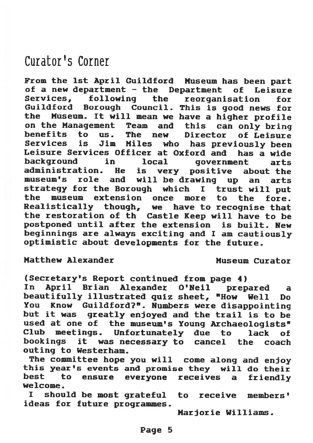# Curator's Corner

From the 1st April Guildford Museum has been part of <sup>a</sup> new department — the Department of Leisure Services, following the reorganisation for Guildford Borough Council. This is good news for<br>the Museum, It will mean we have a bigher profile Museum. It will mean we have a higher profile<br>he Management Team and this can only bring on the Management Team and<br>benefits to us. The new Director of Leisure Services is Jim Miles who has previously been Leisure Services Officer at Oxford and has <sup>a</sup> wide background in local government arts administration. He is very positive about the museum's role and will be drawing up an arts strategy for the Borough which <sup>I</sup> trust will put the museum extension once more to the fore. Realistically though, we have to recognise that the restoration of th Castle Keep will have to be postponed until after the extension is built. New beginnings are always exciting and <sup>I</sup> am cautiously optimistic about developments for the future.

Matthew Alexander **Museum Curator** 

(Secretary's Report continued from page 4) In April Brian Alexander O'Neil prepared <sup>a</sup> beautifully illustrated quiz sheet, "How Well Do You Know Cuildford7". Numbers were disappointing but it was greatly enjoyed and the trail is to be used at one of the museum's Young Archaeologists"<br>Club meetings, Unfortunately due to lack of meetings. Unfortunately due to lack of bookings it was necessary to cancel the coach outing to Westerham.

The committee hope you will come along and enjoy this year's events and promise they will do their best to ensure everyone receives <sup>a</sup> friendly welcome.

<sup>I</sup> should be most grateful to receive members' idea5 for future programmes.

Marjorie Williams.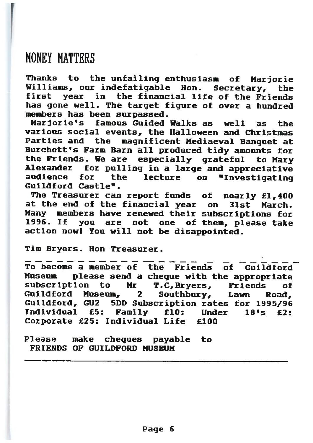HONEY MATTERS

Thanks to the unfailing enthusiasm of Marjorie Williams, our indefatigable Hon. Secretary, the first year in the financial life of the Friends has gone well. The target figure of over <sup>a</sup> hundred members has been surpassed.

Marjorie's famous Guided Walks as well as the various social events, the Halloween and Christmas Parties and the magnificent Mediaeval Banquet at Burchett's Farm Barn all produced tidy amounts for the Friends. We are especially grateful to Mary Alexander for pulling in <sup>a</sup> large and appreciative audience for the lecture on "Investigating Guildford Castle".

The Treasurer can report funds of nearly £1,400 at the end of the financial year on 31st March. Many members have renewed their subscriptions for 1996. If you are not one of them, please take action now! You will not be disappointed.

Tim Bryers. Hon Treasurer.

To become <sup>a</sup> member of the Friends of Guildford Museum <sup>p</sup>lease send <sup>a</sup> cheque with the appropriate subscription to Mr T.C,Bryers, Friends of Guildford2 Southbury, Lawn Road, Guildford, GU2 5DD Subscription rates for 1995/96 Individual £5: Family £10: Under 18's £2: Corporate £25: Individual Life £100

Please make cheques payable to FRIENDS OF GUILDFORD MUSEUM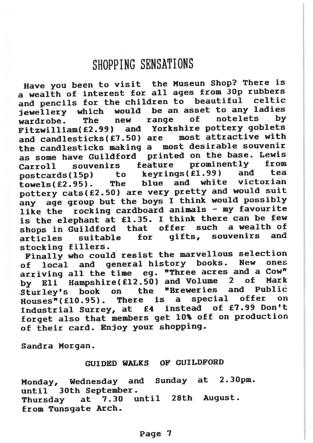# SHOPPING SENSATIONS

Have you been to visit the Museun Shop? There is <sup>a</sup> wealth of interest for all ages from 30p rubbers and pencils for the children to beautiful celtic jewellery which would be an asset to any ladies<br>wardrobe, The new range of notelets by wardrobe. Fitzwilliam(£2.99) and Yorkshire pottery goblets and candlesticks $(£7.50)$  are the candlesticks making <sup>a</sup> most desirable souvenir as some have Guildford printed on the base. Lewis Carroll souvenirs feature prominently from<br>postcards(15p) to kevrings(£1.99) and tea  $postcards(15p)$  to to teachers (fl.99) to the teachers towels(2.95). The blue and white victorian pottery cats(E2..50) are very pretty and would suit any age group but the boys I think would possibly like the rocking cardboard animals — my favourite is the elephant at £1.35. I think there can be few shops in Guildford that offer such<br>articles suitable for gifts, sou <sup>a</sup> wealth of articles suitable for gifts, souvenirs and stocking fillers.

Finally who could resist the marvellous selection<br>
is local and general history books. New ones of local and general history books. arriving all the time eg. "Three acres and a Cow" by Eli Hampshire(£12.50) and Volume 2 of Mark<br>sturley's book on the "Breweries and Public Sturley's book on the "Breweries and Public<br>Houses"(f10.95), There is a special offer on  $House*(£10.95)$ . a special offer on<br>instead of £7.99 Don't Industrial Surrey, at £4 forget also that members ge<sup>t</sup> 10% off on production of their card. Enjoy your shopping.

Sandra Morgan.

GUIDED WALKS OF GUILDFORD

Monday, Wednesday and Sunday at 2.3Opm. until 30th September. Thursday at 7.30 until 28th August. from Tunsqate Arch.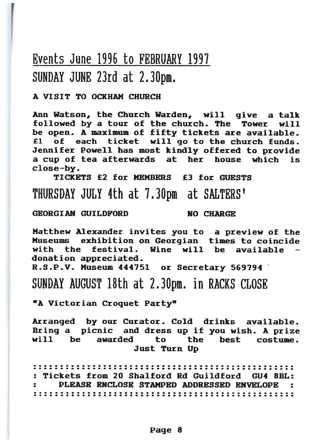# Events June 1996 to FEBRUARY 199? SUNDAY JUNE 23rd at 2.30pm

#### A VISIT TO OCKHAM CHURCH

Ann Watson, the Church Warden, will give <sup>a</sup> talk followed by <sup>a</sup> tour of the church. The Tower will be open. A maximum of fifty tickets are available. £1 of each ticket will go to the church funds. Jennifer Powell has most kindly offered to provide a cup of tea afterwards at her house which is close-by.

TICKETS £2 for MEMBERS £3 for GUESTSTIIUR\$DAY JULY 4th at ?.3Opm at SALTERS'

#### GEORGIAN GUILDFORD

NO CHARGE

Matthew Alexander invites you to <sup>a</sup> preview of the Museums exhibition on Georgian times to coincide with the festival. Wine will be available donation appreciated.

R.S.P.V. Museum 444751 or Secretary 569794

SUNDAY AUGUST 18th at 2.30pm. in RACKS CLOSE

"A Victorian Croquet Party"

Arranged by our Curator. Cold drinks available. Bring <sup>a</sup> picnic and dress up if you wish. A prize will be awarded to the best costume.Just Turn Up

: Tickets from 20 Shalford Rd Guildford CU4 8BL: PLEASE ENCLOSE STAMPED ADDRESSED ENVELOPE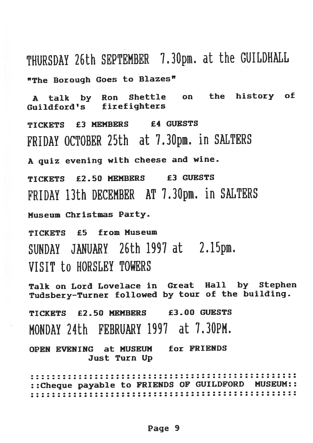THURSDAY 26th SEPTEMBER 7.30pm. at the GUILDHALL "The Borough Goes to Blazes"

<sup>A</sup> talk by Ron Shettle on the history of Guildford's firefighters TICKETS £3 MEMBERS £4 GUESTS FRIDAY OCTOBER 25th at 7.30pm. in SALTERS <sup>A</sup> quiz evening with cheese and wine. TICKETS £2.50 MEMBERS £3 GUESTS FRIDAY 13th DECEMBER AT 7.3Opm. in SALTERS Museum Christmas Party. TICKETS £5 from Museum SUNDAY JANUARY 26th 1997 at 2.15pm. VISIT to HORSLEY TOWERS Talk on Lord Lovelace in Great Hall by Stephen Tudsbery-Turner followed by tour of the building. TICKETS £2.50 MEMBERS £3.00 GUESTS KONDAY 24th FEBRUARY 1997 at 7.3OPM. OPEN EVENING at MUSEUM for FRIENDS Just Turn Up ::Cheque payable to FRIENDS OF GUILDFORD MUSEUM::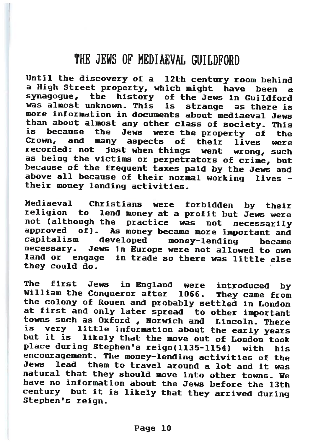## ThE JEWS OF KEDIAEVAL GUILDFORD

Until the discovery of a 12th century room behind a High Street property, which might have been a synagogue, the history of the Jews in Guildford was almost unknown. This isas there is more information in documents about mediaeval Jewsthan about almost any other class of society. This<br>is because the Jews were the property of the becausethe were theis because the Jews were the property of the<br>Crown, and many aspects of their lives were recorded: not just when things went wrong, such as being the victims or perpetrators of crime, but because of the frequent taxes paid by the Jews and<br>above all because of their normal working. lives all because of their normal working lives their money lending activities.

Mediaeval Christians wereforbidden by their nediaeval Christians were forbidden by their<br>religion to lend money at a profit but Jews were not (although the practice was not necessarily approved of). As money became more important and<br>capitalism developed money-lending became<br>necessary. Jews in Europe were not allowed to own Jews in Europe were not allowed to own land or engage in trade so there was little elsethey could do.

Thee first Jews in in England were introduced by The Tilst Jews in England were introduced by<br>William the Conqueror after 1066, They came from William the Conqueror after 1066. They came from<br>the colony of Rouen and probably settled in London at first and only later spread to other important towns such as Oxford , Norwich and Lincoln. There is very little information about theis very little information about the early years<br>but it is likely that the move out of London took place during Stephen's reign(1135-1154) with his encouragement. The money—lending activities of the Jews lead them to travel around a lot and it was natural that they should move into other towns. We have no information about the Jews before the 13th century but it is likely that they arrived during Stephen's reign.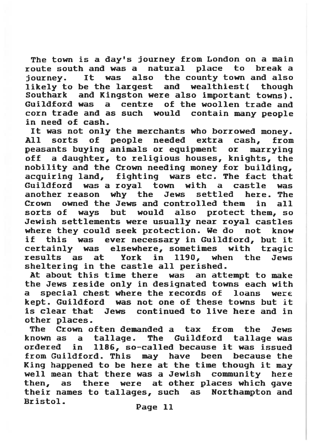The town is a day's journey from London on a main<br>oute south and was a natural place to break a route south and was <sup>a</sup> natural place to break <sup>a</sup> journey. It was also the county town and also likely to be the largest and wealthiest( though Southark and Kingston were also important towns). Guildford was <sup>a</sup> centre of the woollen trade and corn trade and as such would contain many people in need of cash.

It was not only the merchants who borrowed money. All sorts of people needed extra cash, from peasants buying animals or equipment or marrying off <sup>a</sup> daughter, to religious houses, knights, the nobility and the Crown needing money for building, acquiring land, fighting wars etc. The fact that Guildford was <sup>a</sup> royal town with <sup>a</sup> castle was another reason why the Jews settled here. The Crown owned the Jews and controlled them in all sorts of ways but would also protect them, so Jewish settlements were usually near royal castles where they could seek protection. We do not know if this was ever necessary in Guildford, but it certainly was elsewhere, sometimes with tragic results as at York in 1190, when the Jews sheltering in the castle all perished.

At about this time there was an attempt to make the Jews reside only in designated towns each with <sup>a</sup> special chest where the records of loans were kept. Guildford was not one of these towns but it is clear that Jews continued to live here and in other places.

The Crown often demanded <sup>a</sup> tax from the Jews known as <sup>a</sup> tallage. The Guildford tallage was ordered in 1186, so—called because it was issued from Guildford. This may have been because the King happened to be here at the time though it may well mean that there was <sup>a</sup> Jewish community here then, as there were at other places which gave their names to tallages, such as Northampton and Bristol.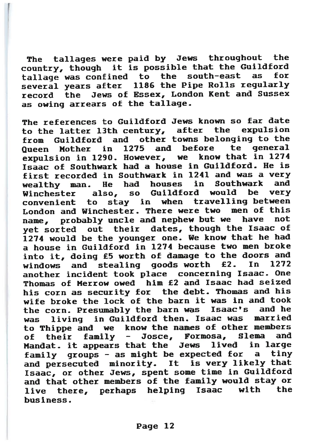The tallages were paid by Jews throughout the country, though it is possible that the Guildford tallage was confined to the south-east as several years after <sup>1186</sup> the Pipe Rolls regularly record the Jews of Essex, London Kent and Sussex as owing arrears of the tallage.

The references to Guildford Jews known so far date to the latter 13th century, after the expulsion from Guildford and other towns belonging to the Queen Mother in 1275 and before te general expulsion in 1290. However, we know that in <sup>1274</sup> Isaac of Southwark had a house in Guildford. He is first recorded in Southwark in 1241 and was a very wealthy man. He had houses in Southwark and<br>Winchester, also, so Guildford would be very Winchester also, so Guildford would be<br>convenient to stav in when travelling be stay in when travelling between London and Winchester. There were two men of this name, probably uncle and nephew but we have not ye<sup>t</sup> sorted out their dates, though the Isaac of 1274 would be the younger one. We know that he had a house in Guildford in 1274 because two men broke into it, doing £5 worth of damage to the doors and windows and stealing goods worth £2. In 1272 another incident took <sup>p</sup>lace concerning Isaac. One Thomas of Herrow owed him £2 and Isaac had seized his corn as security for the debt. Thomas and his wife broke the lock of the barn it was in and took the corn. Presumably the barn was Isaac's and he was living in Guildford then. Isaac was married to Thippe and we know the names of other members of their family — Josce, Formosa, Slema and Mandat. it appears that the Jews lived in large family groups - as might be expected for a tiny and persecuted minority. It is very likely that Isaac, or other Jews, spen<sup>t</sup> some time in Guildford and that other members of the family would stay or live there, perhaps helping Isaac with the business.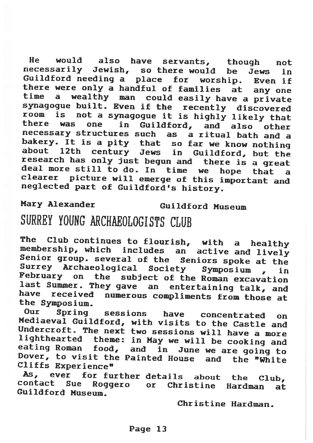He would also have servants, though not necessarily Jewish, so there would be Jews in Guildford needing a place for worship. Guildford needing a place for worship. Even if<br>there were only a handful of families, at, any one there were only a handful of families at any one<br>time a wealthy man could easily have a private <sup>a</sup> wealthy man could easily have <sup>a</sup> private synagogue built. Even if the recently discovered<br>room is not a synagogue it is highly likely that is i there was one in Guildford, and also other necessary structures such as <sup>a</sup> ritual bath and bakery. It is a pity that so far we know nothing about 12th century Jews in Guildford, but the<br>research has only just begun and there is a great deal more still to do. In time we hope that a <sup>a</sup> clearer <sup>p</sup>icture will emerge of this important and neglected part of Guildford's history.

Mary Alexander Guildford Museum

# SURREY YOUNG ARCHAEOLOGISTS CLUB

The Club continues to flourish, with a healthy membership, which includes an active and lively<br>Senior group. several of the Seniors spoke at the<br>Surrey Archaeological Society Symposium , in<br>February on the subject of the Roman excavation<br>last Summer. They gave an enter

Our Spring sessions have concentrated on<br>Mediaeval Guildford, with visits to the Castle and<br>Undercroft. The next two sessions will have a more lighthearted theme: in May we will be cooking and eating Roman food, and in June we are going to Dover, to visit the Painted House and the "White Cliffs Experience"

As, ever for further details about the Club, contact Sue Roggero or Christine Hardman at Guildford Museum.

Christine Hardman.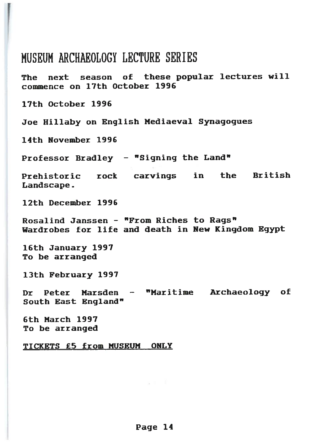## MUSEUM ARCIIAEOLOGY LECTURE SERIES

The next season of these popular lectures will commence on 17th October 1996

17th October 1996

Joe Hillaby on English Mediaeval Synagogues

14th November 1996

Professor Bradley - "Signing the Land"

Prehistoric rock carvings in the British Landscape.

12th December 1996

Rosalind Janssen — "From Riches to Rags" Wardrobes for life and death in New Kingdom Egypt

16th January 1997 To be arranged

13th February 1997

DrPeter Marsden - "Maritime Archaeology of South East England"

6th March 1997 To be arranged

TICKETS £5 from MUSEUM ONLY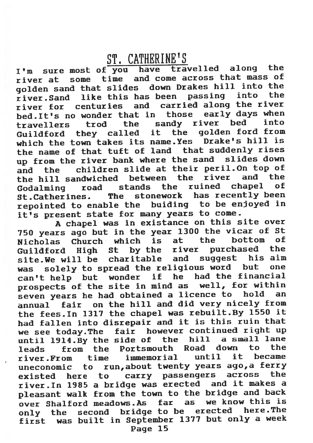# ST. CAThERINE'S

I'm sure most of you have travelled along the river at some time and come across that mass of golden sand that slides down Drakes hill into the<br>river Sand, like this has been, passing, into, the  $river_S$ and like this has been passing river for centuries and carried along the river<br>bed It's no wonder that in those early days when bed. It's no wonder that in those early days when<br>the sandy river bed into travellers trod the sandy river bed into<br>Guildford they called it the golden-ford-from Guildford they called it the golden ford from which the town takes its name.Yes Drake's hill is the name of that tuft of land that suddenly rises up from the river bank where the sand slides down and the children slide at their peril.On top of the hill sandwiched between the river and the<br>Codelning road stands the ruined chanel of Godalming road stands the ruined chapel St.Catherines. The stonework has recently been<br>repointed to enable the buiding to be enjoyed in repointed to enable the it's presen<sup>t</sup> state for many years to come.

<sup>A</sup> chapel was in existance on this site over 750 years ago but in the year 1300 the vicar of St<br>Nicholas Church which is at the bottom of Nicholas Church which is at Guildford High St by the river purchased the<br>site, We will be charitable and suggest his aim site.We will be charitable was solely to sprea<sup>d</sup> the religious word but one can't help but wonder if he had the financial prospects of the site in mind as well, for within seven years he had obtained <sup>a</sup> licence to hold an annual fair on the hill and did very nicely from the fees.In <sup>1317</sup> the chapel was rebuilt.By <sup>1550</sup> it had fallen into disrepair and it is this ruin that we see today.The fair however continued right up until  $1914.By$  the side of the hill a small lane leads from the Portsmouth Road down to the river.From time immemorial until it became uneconomic to run,about twenty years ago,a ferry existed here to carry passengers across the river.In 1985 <sup>a</sup> bridge was erected and it makes a pleasant walk from the town to the bridge and back<br>over Shalford meadows.As far as we know this is over Shalford meadows.As far only the second bridge to be erected here.The first was built in September <sup>1377</sup> but only <sup>a</sup> week